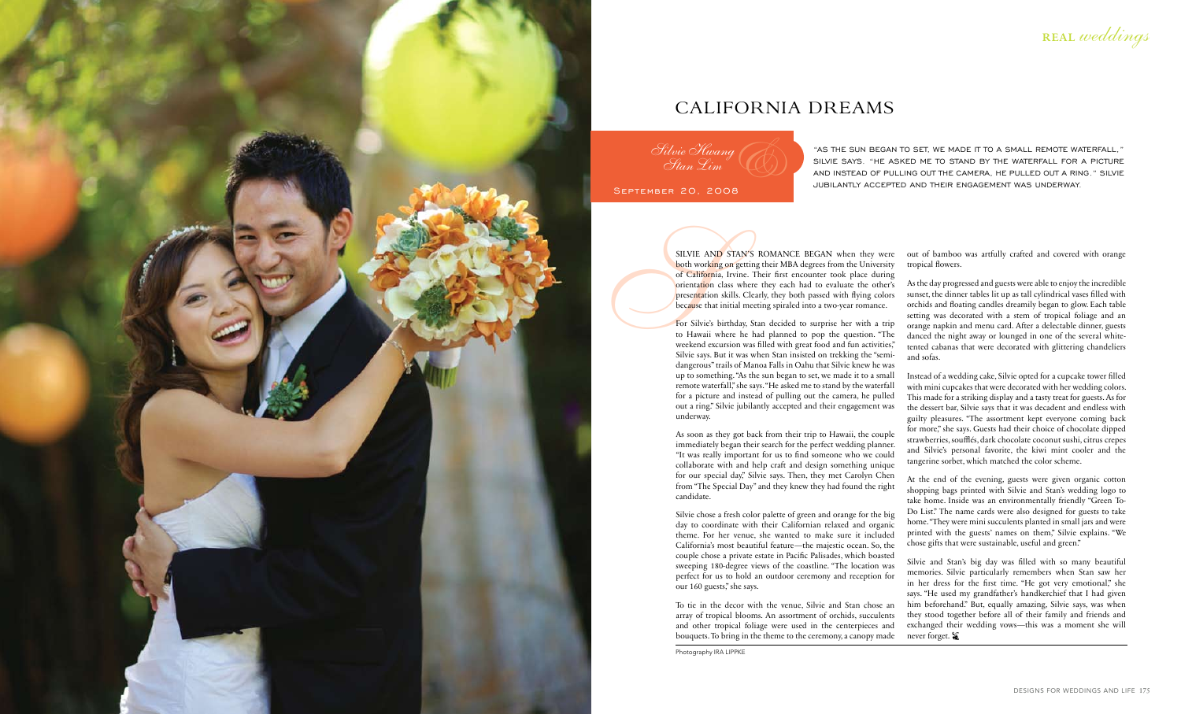

For Silvie's birthday, Stan decided to surprise her with a trip to Hawaii where he had planned to pop the question. " The weekend excursion was filled with great food and fun activities," Silvie says. But it was when Stan insisted on trekking the "semidangerous" trails of Manoa Falls in Oahu that Silvie knew he was up to something. "As the sun began to set, we made it to a small remote waterfall," she says. "He asked me to stand by the waterfall for a picture and instead of pulling out the camera, he pulled out a ring." Silvie jubilantly accepted and their engagement was underway.

As soon as they got back from their trip to Hawaii, the couple immediately began their search for the perfect wedding planner. "It was really important for us to find someone who we could collaborate with and help craft and design something unique for our special day," Silvie says. Then, they met Carolyn Chen from " The Special Day" and they knew they had found the right candidate.

Silvie chose a fresh color palette of green and orange for the big day to coordinate with their Californian relaxed and organic theme. For her venue, she wanted to make sure it included California's most beautiful feature—the majestic ocean. So, the couple chose a private estate in Pacific Palisades, which boasted sweeping 180-degree views of the coastline. " The location was perfect for us to hold an outdoor ceremony and reception for our 160 guests," she says. To tie in the decor with the venue, Silvie and Stan chose an

Silvie and Stan's big day was filled with so many beautiful memories. Silvie particularly remembers when Stan saw her in her dress for the first time. "He got very emotional," she says. "He used my grandfather's handkerchief that I had given him beforehand." But, equally amazing, Silvie says, was when they stood together before all of their family and friends and exchanged their wedding vows—this was a moment she will never forget. **\*** 

array of tropical blooms. An assortment of orchids, succulents and other tropical foliage were used in the centerpieces and bouquets. To bring in the theme to the ceremony, a canopy made

Photography IRA LIPPKE

REAL weddings

" AS THE SUN BEGAN TO SET, WE MADE IT TO A SMALL REMOTE WATERFALL," SILVIE SAYS. "HE ASKED ME TO STAND BY THE WATERFALL FOR A PICTURE and inste ad of pulling out the c amer a, he pulled out a ring." Silvie JUBILANTLY ACCEPTED AND THEIR ENGAGEMENT WAS UNDERWAY.

September 20, 2008 Silvie Hwang Stan Lim  $\mathscr{G}(\overline{\mathbb{Q}})$ 

out of bamboo was artfully crafted and covered with orange tropical flowers.

SILVIE AN<br>
both working<br>
of Californi<br>
orientation<br>
presentation<br>
presentation<br>
because that<br>
For Silvie's<br>
to Hawaii<br>
weekend exc<br>
Silvie says. SILVIE AND STAN'S ROMANCE BEGAN when they were both working on getting their MBA degrees from the University of California, Irvine. Their first encounter took place during orientation class where they each had to evaluate the other's presentation skills. Clearly, they both passed with flying colors because that initial meeting spiraled into a two-year romance.

As the day progressed and guests were able to enjoy the incredible sunset, the dinner tables lit up as tall cylindrical vases filled with orchids and floating candles dreamily began to glow. Each table setting was decorated with a stem of tropical foliage and an orange napkin and menu card. After a delectable dinner, guests danced the night away or lounged in one of the several whitetented cabanas that were decorated with glittering chandeliers and sofas.

Instead of a wedding cake, Silvie opted for a cupcake tower filled with mini cupcakes that were decorated with her wedding colors. This made for a striking display and a tasty treat for guests. As for the dessert bar, Silvie says that it was decadent and endless with guilty pleasures. " The assortment kept everyone coming back for more," she says. Guests had their choice of chocolate dipped strawberries, soufflés, dark chocolate coconut sushi, citrus crepes and Silvie's personal favorite, the kiwi mint cooler and the tangerine sorbet, which matched the color scheme.

At the end of the evening, guests were given organic cotton shopping bags printed with Silvie and Stan's wedding logo to take home. Inside was an environmentally friendly " Green To-Do List." The name cards were also designed for guests to take home. " They were mini succulents planted in small jars and were printed with the guests' names on them," Silvie explains. "We chose gifts that were sustainable, useful and green."

## California Dreams